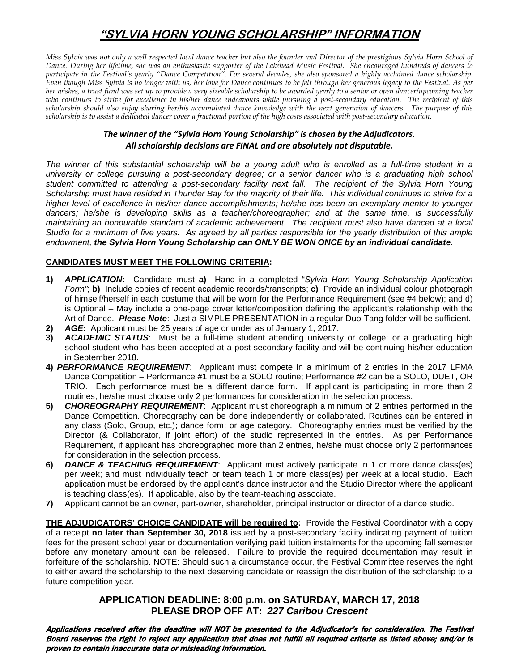# **"SYLVIA HORN YOUNG SCHOLARSHIP" INFORMATION**

*Miss Sylvia was not only a well respected local dance teacher but also the founder and Director of the prestigious Sylvia Horn School of Dance. During her lifetime, she was an enthusiastic supporter of the Lakehead Music Festival. She encouraged hundreds of dancers to participate in the Festival's yearly "Dance Competition". For several decades, she also sponsored a highly acclaimed dance scholarship. Even though Miss Sylvia is no longer with us, her love for Dance continues to be felt through her generous legacy to the Festival. As per her wishes, a trust fund was set up to provide a very sizeable scholarship to be awarded yearly to a senior or open dancer/upcoming teacher who continues to strive for excellence in his/her dance endeavours while pursuing a post-secondary education. The recipient of this scholarship should also enjoy sharing her/his accumulated dance knowledge with the next generation of dancers. The purpose of this scholarship is to assist a dedicated dancer cover a fractional portion of the high costs associated with post-secondary education.* 

## *The winner of the "Sylvia Horn Young Scholarship" is chosen by the Adjudicators. All scholarship decisions are FINAL and are absolutely not disputable.*

*The winner of this substantial scholarship will be a young adult who is enrolled as a full-time student in a university or college pursuing a post-secondary degree; or a senior dancer who is a graduating high school student committed to attending a post-secondary facility next fall. The recipient of the Sylvia Horn Young Scholarship must have resided in Thunder Bay for the majority of their life. This individual continues to strive for a higher level of excellence in his/her dance accomplishments; he/she has been an exemplary mentor to younger*  dancers; he/she is developing skills as a teacher/choreographer; and at the same time, is successfully *maintaining an honourable standard of academic achievement. The recipient must also have danced at a local Studio for a minimum of five years. As agreed by all parties responsible for the yearly distribution of this ample endowment, the Sylvia Horn Young Scholarship can ONLY BE WON ONCE by an individual candidate.*

### **CANDIDATES MUST MEET THE FOLLOWING CRITERIA:**

- **1)** *APPLICATION***:** Candidate must **a)** Hand in a completed "*Sylvia Horn Young Scholarship Application Form"*; **b)** Include copies of recent academic records/transcripts; **c)** Provide an individual colour photograph of himself/herself in each costume that will be worn for the Performance Requirement (see #4 below); and d) is Optional – May include a one-page cover letter/composition defining the applicant's relationship with the Art of Dance. *Please Note*: Just a SIMPLE PRESENTATION in a regular Duo-Tang folder will be sufficient.
- **2)** *AGE***:** Applicant must be 25 years of age or under as of January 1, 2017.
- **3)** *ACADEMIC STATUS*: Must be a full-time student attending university or college; or a graduating high school student who has been accepted at a post-secondary facility and will be continuing his/her education in September 2018.
- **4)** *PERFORMANCE REQUIREMENT*: Applicant must compete in a minimum of 2 entries in the 2017 LFMA Dance Competition – Performance #1 must be a SOLO routine; Performance #2 can be a SOLO, DUET, OR TRIO. Each performance must be a different dance form. If applicant is participating in more than 2 routines, he/she must choose only 2 performances for consideration in the selection process.
- **5)** *CHOREOGRAPHY REQUIREMENT*: Applicant must choreograph a minimum of 2 entries performed in the Dance Competition. Choreography can be done independently or collaborated. Routines can be entered in any class (Solo, Group, etc.); dance form; or age category. Choreography entries must be verified by the Director (& Collaborator, if joint effort) of the studio represented in the entries. As per Performance Requirement, if applicant has choreographed more than 2 entries, he/she must choose only 2 performances for consideration in the selection process.
- **6)** *DANCE & TEACHING REQUIREMENT*: Applicant must actively participate in 1 or more dance class(es) per week; and must individually teach or team teach 1 or more class(es) per week at a local studio. Each application must be endorsed by the applicant's dance instructor and the Studio Director where the applicant is teaching class(es). If applicable, also by the team-teaching associate.
- **7)** Applicant cannot be an owner, part-owner, shareholder, principal instructor or director of a dance studio.

**THE ADJUDICATORS' CHOICE CANDIDATE will be required to:** Provide the Festival Coordinator with a copy of a receipt **no later than September 30, 2018** issued by a post-secondary facility indicating payment of tuition fees for the present school year or documentation verifying paid tuition instalments for the upcoming fall semester before any monetary amount can be released. Failure to provide the required documentation may result in forfeiture of the scholarship. NOTE: Should such a circumstance occur, the Festival Committee reserves the right to either award the scholarship to the next deserving candidate or reassign the distribution of the scholarship to a future competition year.

## **APPLICATION DEADLINE: 8:00 p.m. on SATURDAY, MARCH 17, 2018 PLEASE DROP OFF AT:** *227 Caribou Crescent*

Applications received after the deadline will NOT be presented to the Adjudicator's for consideration. The Festival Board reserves the right to reject any application that does not fulfill all required criteria as listed above; and/or is proven to contain inaccurate data or misleading information.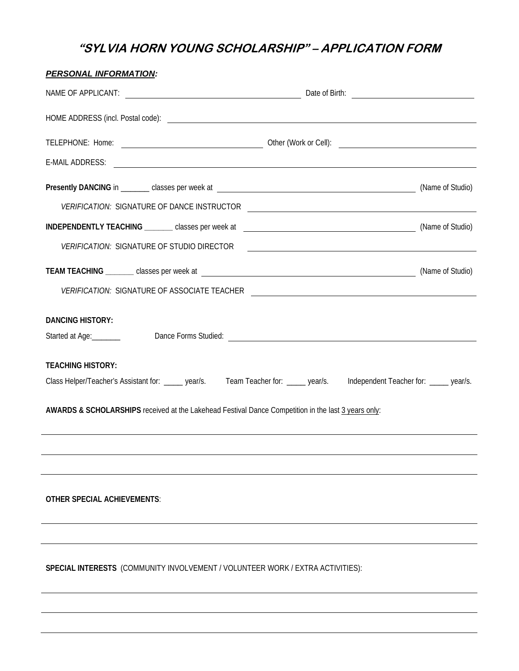# **"SYLVIA HORN YOUNG SCHOLARSHIP" – APPLICATION FORM**

| <b>PERSONAL INFORMATION:</b>                                                                                                                                                                                                                                   |  |  |  |  |  |  |
|----------------------------------------------------------------------------------------------------------------------------------------------------------------------------------------------------------------------------------------------------------------|--|--|--|--|--|--|
|                                                                                                                                                                                                                                                                |  |  |  |  |  |  |
|                                                                                                                                                                                                                                                                |  |  |  |  |  |  |
|                                                                                                                                                                                                                                                                |  |  |  |  |  |  |
| E-MAIL ADDRESS: New York Contract the Contract of the Contract of the Contract of the Contract of the Contract of the Contract of the Contract of the Contract of the Contract of the Contract of the Contract of the Contract                                 |  |  |  |  |  |  |
|                                                                                                                                                                                                                                                                |  |  |  |  |  |  |
| VERIFICATION: SIGNATURE OF DANCE INSTRUCTOR                                                                                                                                                                                                                    |  |  |  |  |  |  |
|                                                                                                                                                                                                                                                                |  |  |  |  |  |  |
|                                                                                                                                                                                                                                                                |  |  |  |  |  |  |
|                                                                                                                                                                                                                                                                |  |  |  |  |  |  |
| VERIFICATION: SIGNATURE OF ASSOCIATE TEACHER ___________________________________                                                                                                                                                                               |  |  |  |  |  |  |
| <b>DANCING HISTORY:</b><br>Started at Age: <u> Dance Forms Studied: Letter and Age:</u> Letter and Age: Letter and Age: Letter and Age: Letter and Age: Letter and Age: Letter and Age: Letter and Age: Letter and Age: Letter and Age: Letter and Age: Letter |  |  |  |  |  |  |
|                                                                                                                                                                                                                                                                |  |  |  |  |  |  |
| <b>TEACHING HISTORY:</b>                                                                                                                                                                                                                                       |  |  |  |  |  |  |
| Class Helper/Teacher's Assistant for: ______ year/s. Team Teacher for: _____ year/s. Independent Teacher for: _____ year/s.                                                                                                                                    |  |  |  |  |  |  |
| AWARDS & SCHOLARSHIPS received at the Lakehead Festival Dance Competition in the last 3 years only:                                                                                                                                                            |  |  |  |  |  |  |
|                                                                                                                                                                                                                                                                |  |  |  |  |  |  |
|                                                                                                                                                                                                                                                                |  |  |  |  |  |  |
| <b>OTHER SPECIAL ACHIEVEMENTS:</b>                                                                                                                                                                                                                             |  |  |  |  |  |  |
|                                                                                                                                                                                                                                                                |  |  |  |  |  |  |
| SPECIAL INTERESTS (COMMUNITY INVOLVEMENT / VOLUNTEER WORK / EXTRA ACTIVITIES):                                                                                                                                                                                 |  |  |  |  |  |  |
|                                                                                                                                                                                                                                                                |  |  |  |  |  |  |